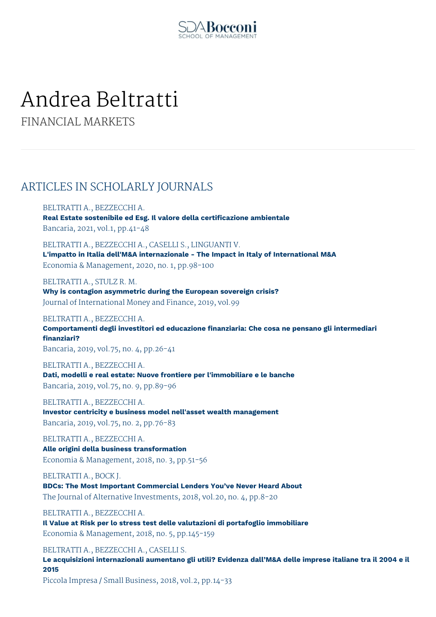

# Andrea Beltratti

FINANCIAL MARKETS

### ARTICLES IN SCHOLARLY JOURNALS

BELTRATTI A., BEZZECCHI A.

**Real Estate sostenibile ed Esg. Il valore della certificazione ambientale** Bancaria, 2021, vol.1, pp.41-48

BELTRATTI A., BEZZECCHI A., CASELLI S., LINGUANTI V. **L'impatto in Italia dell'M&A internazionale - The Impact in Italy of International M&A** Economia & Management, 2020, no. 1, pp.98-100

BELTRATTI A., STULZ R. M. **Why is contagion asymmetric during the European sovereign crisis?** Journal of International Money and Finance, 2019, vol.99

BELTRATTI A., BEZZECCHI A. **Comportamenti degli investitori ed educazione finanziaria: Che cosa ne pensano gli intermediari finanziari?** Bancaria, 2019, vol.75, no. 4, pp.26-41

BELTRATTI A., BEZZECCHI A. **Dati, modelli e real estate: Nuove frontiere per l'immobiliare e le banche** Bancaria, 2019, vol.75, no. 9, pp.89-96

BELTRATTI A., BEZZECCHI A. **Investor centricity e business model nell'asset wealth management** Bancaria, 2019, vol.75, no. 2, pp.76-83

BELTRATTI A., BEZZECCHI A. **Alle origini della business transformation** Economia & Management, 2018, no. 3, pp.51-56

BELTRATTI A., BOCK J. **BDCs: The Most Important Commercial Lenders You've Never Heard About** The Journal of Alternative Investments, 2018, vol.20, no. 4, pp.8-20

BELTRATTI A., BEZZECCHI A. **Il Value at Risk per lo stress test delle valutazioni di portafoglio immobiliare** Economia & Management, 2018, no. 5, pp.145-159

BELTRATTI A., BEZZECCHI A., CASELLI S. **Le acquisizioni internazionali aumentano gli utili? Evidenza dall'M&A delle imprese italiane tra il 2004 e il 2015**

Piccola Impresa / Small Business, 2018, vol.2, pp.14-33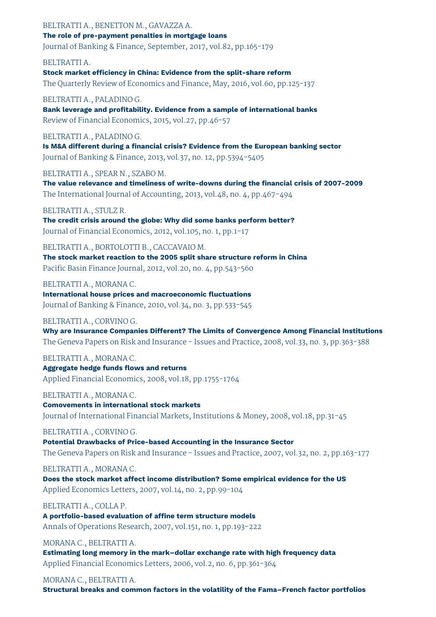BELTRATTI A., BENETTON M., GAVAZZA A. **The role of pre-payment penalties in mortgage loans** Journal of Banking & Finance, September, 2017, vol.82, pp.165-179

#### BELTRATTI A.

**Stock market efficiency in China: Evidence from the split-share reform** The Quarterly Review of Economics and Finance, May, 2016, vol.60, pp.125-137

#### BELTRATTI A., PALADINO G.

**Bank leverage and profitability. Evidence from a sample of international banks** Review of Financial Economics, 2015, vol.27, pp.46-57

#### BELTRATTI A., PALADINO G.

**Is M&A different during a financial crisis? Evidence from the European banking sector** Journal of Banking & Finance, 2013, vol.37, no. 12, pp.5394-5405

BELTRATTI A., SPEAR N., SZABO M.

**The value relevance and timeliness of write-downs during the financial crisis of 2007-2009** The International Journal of Accounting, 2013, vol.48, no. 4, pp.467-494

#### BELTRATTI A., STULZ R.

**The credit crisis around the globe: Why did some banks perform better?** Journal of Financial Economics, 2012, vol.105, no. 1, pp.1-17

BELTRATTI A., BORTOLOTTI B., CACCAVAIO M. **The stock market reaction to the 2005 split share structure reform in China**

Pacific Basin Finance Journal, 2012, vol.20, no. 4, pp.543-560

BELTRATTI A., MORANA C.

**International house prices and macroeconomic fluctuations** Journal of Banking & Finance, 2010, vol.34, no. 3, pp.533-545

#### BELTRATTI A., CORVINO G.

**Why are Insurance Companies Different? The Limits of Convergence Among Financial Institutions** The Geneva Papers on Risk and Insurance - Issues and Practice, 2008, vol.33, no. 3, pp.363-388

BELTRATTI A., MORANA C. **Aggregate hedge funds flows and returns** Applied Financial Economics, 2008, vol.18, pp.1755-1764

BELTRATTI A., MORANA C. **Comovements in international stock markets** Journal of International Financial Markets, Institutions & Money, 2008, vol.18, pp.31-45

#### BELTRATTI A., CORVINO G.

**Potential Drawbacks of Price-based Accounting in the Insurance Sector** The Geneva Papers on Risk and Insurance - Issues and Practice, 2007, vol.32, no. 2, pp.163-177

#### BELTRATTI A., MORANA C.

**Does the stock market affect income distribution? Some empirical evidence for the US** Applied Economics Letters, 2007, vol.14, no. 2, pp.99-104

#### BELTRATTI A., COLLA P.

**A portfolio-based evaluation of affine term structure models** Annals of Operations Research, 2007, vol.151, no. 1, pp.193-222

#### MORANA C., BELTRATTI A.

**Estimating long memory in the mark–dollar exchange rate with high frequency data** Applied Financial Economics Letters, 2006, vol.2, no. 6, pp.361-364

#### MORANA C., BELTRATTI A.

**Structural breaks and common factors in the volatility of the Fama–French factor portfolios**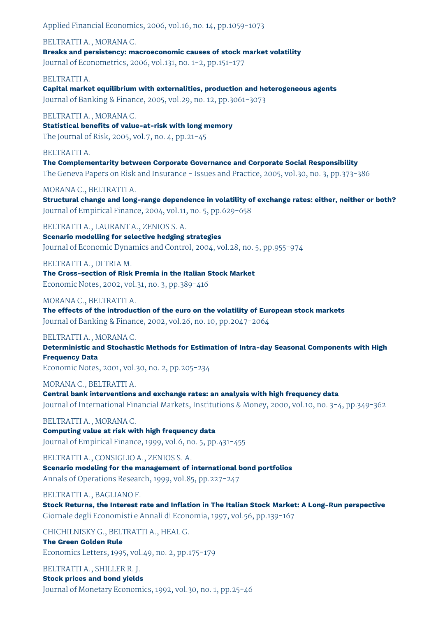Applied Financial Economics, 2006, vol.16, no. 14, pp.1059-1073

BELTRATTI A., MORANA C. **Breaks and persistency: macroeconomic causes of stock market volatility** Journal of Econometrics, 2006, vol.131, no. 1-2, pp.151-177

BELTRATTI A. **Capital market equilibrium with externalities, production and heterogeneous agents** Journal of Banking & Finance, 2005, vol.29, no. 12, pp.3061-3073

BELTRATTI A., MORANA C. **Statistical benefits of value-at-risk with long memory** The Journal of Risk, 2005, vol.7, no. 4, pp.21-45

BELTRATTI A. **The Complementarity between Corporate Governance and Corporate Social Responsibility** The Geneva Papers on Risk and Insurance - Issues and Practice, 2005, vol.30, no. 3, pp.373-386

#### MORANA C., BELTRATTI A.

**Structural change and long-range dependence in volatility of exchange rates: either, neither or both?** Journal of Empirical Finance, 2004, vol.11, no. 5, pp.629-658

BELTRATTI A., LAURANT A., ZENIOS S. A.

**Scenario modelling for selective hedging strategies**

Journal of Economic Dynamics and Control, 2004, vol.28, no. 5, pp.955-974

BELTRATTI A., DI TRIA M.

**The Cross-section of Risk Premia in the Italian Stock Market**

Economic Notes, 2002, vol.31, no. 3, pp.389-416

MORANA C., BELTRATTI A.

**The effects of the introduction of the euro on the volatility of European stock markets** Journal of Banking & Finance, 2002, vol.26, no. 10, pp.2047-2064

#### BELTRATTI A., MORANA C.

**Deterministic and Stochastic Methods for Estimation of Intra-day Seasonal Components with High Frequency Data**

Economic Notes, 2001, vol.30, no. 2, pp.205-234

MORANA C., BELTRATTI A.

**Central bank interventions and exchange rates: an analysis with high frequency data** Journal of International Financial Markets, Institutions & Money, 2000, vol.10, no. 3-4, pp.349-362

BELTRATTI A., MORANA C.

**Computing value at risk with high frequency data** Journal of Empirical Finance, 1999, vol.6, no. 5, pp.431-455

BELTRATTI A., CONSIGLIO A., ZENIOS S. A.

**Scenario modeling for the management of international bond portfolios** Annals of Operations Research, 1999, vol.85, pp.227-247

BELTRATTI A., BAGLIANO F.

**Stock Returns, the Interest rate and Inflation in The Italian Stock Market: A Long-Run perspective** Giornale degli Economisti e Annali di Economia, 1997, vol.56, pp.139-167

CHICHILNISKY G., BELTRATTI A., HEAL G.

**The Green Golden Rule** Economics Letters, 1995, vol.49, no. 2, pp.175-179

BELTRATTI A., SHILLER R. J. **Stock prices and bond yields** Journal of Monetary Economics, 1992, vol.30, no. 1, pp.25-46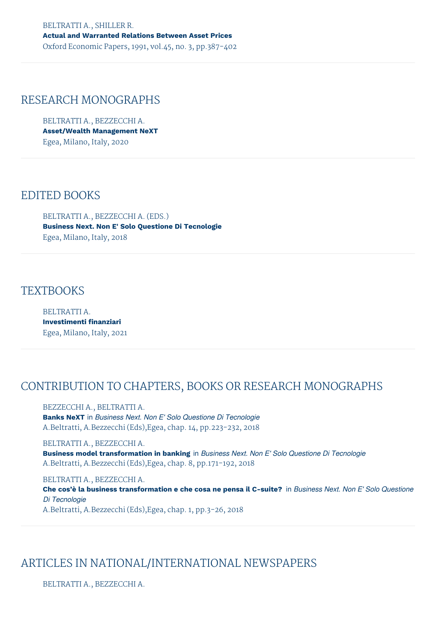### RESEARCH MONOGRAPHS

BELTRATTI A., BEZZECCHI A. **Asset/Wealth Management NeXT** Egea, Milano, Italy, 2020

### EDITED BOOKS

BELTRATTI A., BEZZECCHI A. (EDS.) **Business Next. Non E' Solo Questione Di Tecnologie** Egea, Milano, Italy, 2018

### **TEXTBOOKS**

BELTRATTI A. **Investimenti finanziari** Egea, Milano, Italy, 2021

## CONTRIBUTION TO CHAPTERS, BOOKS OR RESEARCH MONOGRAPHS

BEZZECCHI A., BELTRATTI A. **Banks NeXT** in *Business Next. Non E' Solo Questione Di Tecnologie* A.Beltratti, A.Bezzecchi (Eds),Egea, chap. 14, pp.223-232, 2018

#### BELTRATTI A., BEZZECCHI A.

**Business model transformation in banking** in *Business Next. Non E' Solo Questione Di Tecnologie* A.Beltratti, A.Bezzecchi (Eds),Egea, chap. 8, pp.171-192, 2018

BELTRATTI A., BEZZECCHI A. Che cos'è la business transformation e che cosa ne pensa il C-suite? in Business Next. Non E' Solo Questione *Di Tecnologie* A.Beltratti, A.Bezzecchi (Eds),Egea, chap. 1, pp.3-26, 2018

# ARTICLES IN NATIONAL/INTERNATIONAL NEWSPAPERS

BELTRATTI A., BEZZECCHI A.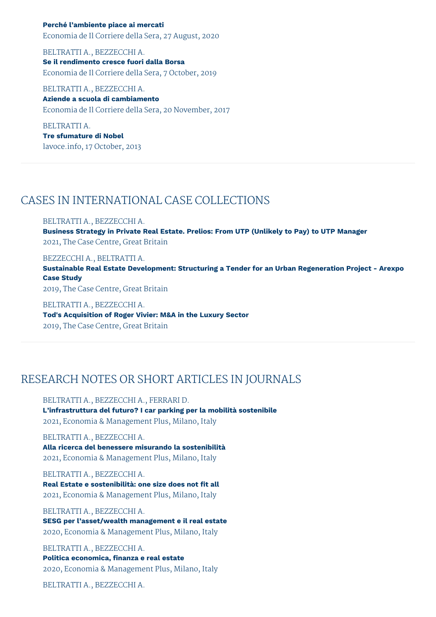**Perché l'ambiente piace ai mercati** Economia de Il Corriere della Sera, 27 August, 2020

BELTRATTI A., BEZZECCHI A. **Se il rendimento cresce fuori dalla Borsa** Economia de Il Corriere della Sera, 7 October, 2019

BELTRATTI A., BEZZECCHI A. **Aziende a scuola di cambiamento** Economia de Il Corriere della Sera, 20 November, 2017

BELTRATTI A. **Tre sfumature di Nobel** lavoce.info, 17 October, 2013

### CASES IN INTERNATIONAL CASE COLLECTIONS

BELTRATTI A., BEZZECCHI A.

**Business Strategy in Private Real Estate. Prelios: From UTP (Unlikely to Pay) to UTP Manager** 2021, The Case Centre, Great Britain

BEZZECCHI A., BELTRATTI A.

**Sustainable Real Estate Development: Structuring a Tender for an Urban Regeneration Project - Arexpo Case Study**

2019, The Case Centre, Great Britain

BELTRATTI A., BEZZECCHI A. **Tod's Acquisition of Roger Vivier: M&A in the Luxury Sector** 2019, The Case Centre, Great Britain

## RESEARCH NOTES OR SHORT ARTICLES IN JOURNALS

BELTRATTI A., BEZZECCHI A., FERRARI D. **L'infrastruttura del futuro? I car parking per la mobilità sostenibile** 2021, Economia & Management Plus, Milano, Italy

BELTRATTI A., BEZZECCHI A. **Alla ricerca del benessere misurando la sostenibilità** 2021, Economia & Management Plus, Milano, Italy

BELTRATTI A., BEZZECCHI A. **Real Estate e sostenibilità: one size does not fit all** 2021, Economia & Management Plus, Milano, Italy

BELTRATTI A., BEZZECCHI A. **SESG per l'asset/wealth management e il real estate** 2020, Economia & Management Plus, Milano, Italy

BELTRATTI A., BEZZECCHI A. **Politica economica, finanza e real estate** 2020, Economia & Management Plus, Milano, Italy

BELTRATTI A., BEZZECCHI A.